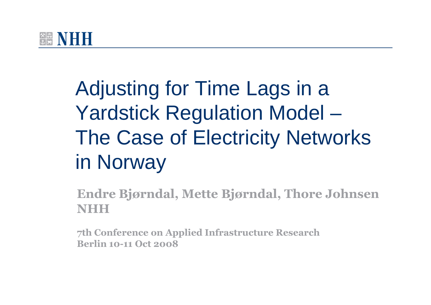

Adjusting for Time Lags in a Yardstick Regulation Model – The Case of Electricity Networks in Norway

**Endre Bjørndal, Mette Bjørndal, Thore JohnsenNHH**

**7th Conference on Applied Infrastructure ResearchBerlin 10-11 Oct 2008**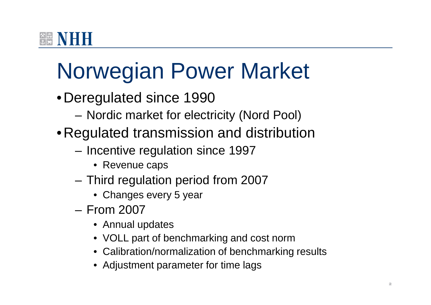# Norwegian Power Market

- Deregulated since 1990
	- Nordic market for electricity (Nord Pool)
- Regulated transmission and distribution
	- – $-$  Incentive regulation since 1997
		- Revenue caps
	- Third regulation period from 2007
		- Changes every 5 year
	- – From 2007
		- Annual updates
		- VOLL part of benchmarking and cost norm
		- Calibration/normalization of benchmarking results
		- Adjustment parameter for time lags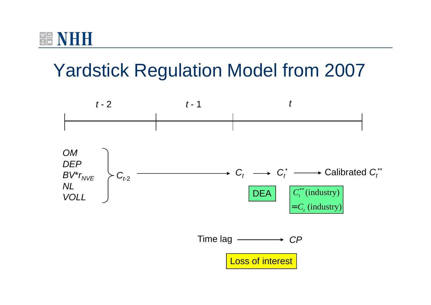

## Yardstick Regulation Model from 2007

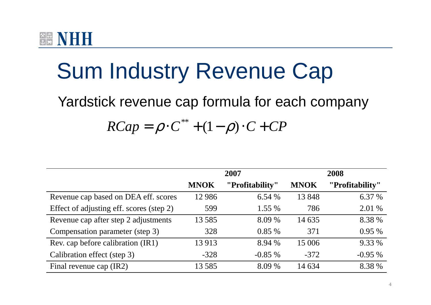

## Sum Industry Revenue Cap

#### Yardstick revenue cap formula for each company

#### \*\* $RCap = \rho \cdot C^* + (1-\rho) \cdot C + CP$

|                                          |             | 2007            | 2008        |                 |  |
|------------------------------------------|-------------|-----------------|-------------|-----------------|--|
|                                          | <b>MNOK</b> | "Profitability" | <b>MNOK</b> | "Profitability" |  |
| Revenue cap based on DEA eff. scores     | 12986       | 6.54 %          | 13848       | 6.37 %          |  |
| Effect of adjusting eff. scores (step 2) | 599         | 1.55 %          | 786         | 2.01 %          |  |
| Revenue cap after step 2 adjustments     | 13585       | 8.09 %          | 14 635      | 8.38 %          |  |
| Compensation parameter (step 3)          | 328         | 0.85%           | 371         | 0.95%           |  |
| Rev. cap before calibration (IR1)        | 13913       | 8.94 %          | 15 006      | 9.33 %          |  |
| Calibration effect (step 3)              | $-328$      | $-0.85%$        | $-372$      | $-0.95%$        |  |
| Final revenue cap (IR2)                  | 13585       | 8.09 %          | 14 634      | 8.38 %          |  |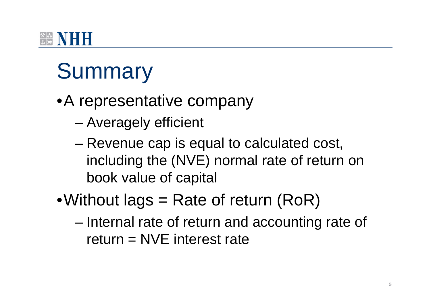## **谷率 NIFIFI**

# **Summary**

- •A representative company
	- –Averagely efficient
	- – Revenue cap is equal to calculated cost, including the (NVE) normal rate of return on book value of capital
- •Without lags  $=$  Rate of return (RoR)
	- – Internal rate of return and accounting rate of return  $=$  NVE interest rate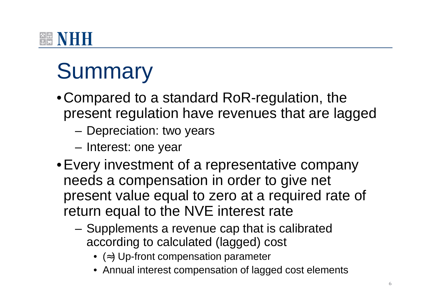## $\frac{1}{2}$   $\frac{1}{2}$   $\frac{1}{2}$   $\frac{1}{2}$   $\frac{1}{2}$

# **Summary**

- Compared to a standard RoR-regulation, the present regulation have revenues that are lagged
	- Depreciation: two years
	- – $-$  Interest: one year
- Every investment of a representative company needs a compensation in order to give net present value equal to zero at a required rate of return equal to the NVE interest rate
	- Supplements a revenue cap that is calibrated according to calculated (lagged) cost
		- (≈) Up-front compensation parameter
		- Annual interest compensation of lagged cost elements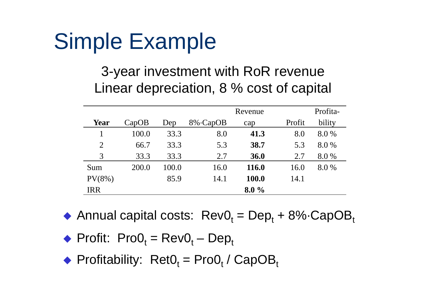# Simple Example

#### 3-year investment with RoR revenueLinear depreciation, 8 % cost of capital

|                |       |       |          | Profita- |        |        |
|----------------|-------|-------|----------|----------|--------|--------|
| <b>Year</b>    | CapOB | Dep   | 8% CapOB | cap      | Profit | bility |
|                | 100.0 | 33.3  | 8.0      | 41.3     | 8.0    | 8.0 %  |
| $\overline{2}$ | 66.7  | 33.3  | 5.3      | 38.7     | 5.3    | 8.0%   |
| 3              | 33.3  | 33.3  | 2.7      | 36.0     | 2.7    | 8.0%   |
| Sum            | 200.0 | 100.0 | 16.0     | 116.0    | 16.0   | 8.0%   |
| $PV(8\%)$      |       | 85.9  | 14.1     | 100.0    | 14.1   |        |
| <b>IRR</b>     |       |       |          | $8.0\%$  |        |        |

- Annual capital costs:  $RevO_t = Dep_t + 8\% \cdot CapOB_t$
- $\blacklozenge$  Profit: Pro $O_t = RevO_t Dep_t$
- $\blacklozenge$  Profitability: Ret $O_t$  = Pro $O_t$  / CapOB<sub>t</sub>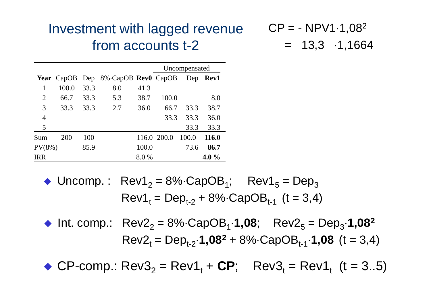#### Investment with lagged revenue from accounts t-2

 $\mathsf{CP} = -\mathsf{NPV1}\cdot 1,08^2$  $= 13,3 \cdot 1,1664$ 

|            | Uncompensated |      |                                                  |       |             |       |              |
|------------|---------------|------|--------------------------------------------------|-------|-------------|-------|--------------|
|            |               |      | <b>Year</b> CapOB Dep 8% CapOB <b>Rev0</b> CapOB |       |             |       | Dep Rev1     |
|            | 100.0         | 33.3 | 8.0                                              | 41.3  |             |       |              |
| 2          | 66.7          | 33.3 | 5.3                                              | 38.7  | 100.0       |       | 8.0          |
| 3          | 33.3          | 33.3 | 2.7                                              | 36.0  | 66.7        | 33.3  | 38.7         |
| 4          |               |      |                                                  |       | 33.3        | 33.3  | 36.0         |
| 5          |               |      |                                                  |       |             | 33.3  | 33.3         |
| Sum        | 200           | 100  |                                                  |       | 116.0 200.0 | 100.0 | <b>116.0</b> |
| $PV(8\%)$  |               | 85.9 |                                                  | 100.0 |             | 73.6  | 86.7         |
| <b>IRR</b> |               |      |                                                  | 8.0%  |             |       | 4.0 $\%$     |

◆ Uncomp. : Rev1 2 $_{2}$  = 8%·CapOB<sub>1</sub>; Rev1 5 $_{5}$  = Dep 3 $\mathsf{Rev1}_\mathsf{t} = \mathsf{Dep}_{\mathsf{t-2}} + 8\% \text{-}\mathsf{CapOB}_{\mathsf{t-1}} \, \ (\mathsf{t=3,4})$ 

◆ Int. comp.: Rev2 2 $_{2}$  = 8% $\cdot$ CapOB<sub>1</sub> $\cdot$ **1,08**; Rev2<sub>5</sub>  $_{5}$  = Dep 3·**1,082** $\mathsf{Rev2}_t = \mathsf{Dep_{t-2}} \cdot \mathbf{1,08^2} + 8\% \cdot \mathsf{CapOB_{t-1}} \cdot \mathbf{1,08}$  (t = 3,4)

◆ CP-comp.: Rev3 2 $_{2}$  = Rev1<sub>t</sub> + **CP**; Rev3<sub>t</sub> = Rev1<sub>t</sub> (t = 3..5)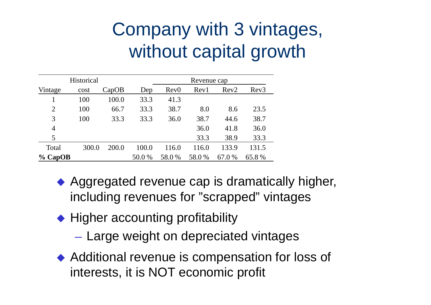## Company with 3 vintages,without capital growth

|                | Historical |       |        |                  | Revenue cap |        |       |
|----------------|------------|-------|--------|------------------|-------------|--------|-------|
| Vintage        | cost       | CapOB | Dep    | Rev <sub>0</sub> | Rev1        | Rev2   | Rev3  |
|                | 100        | 100.0 | 33.3   | 41.3             |             |        |       |
| $\overline{2}$ | 100        | 66.7  | 33.3   | 38.7             | 8.0         | 8.6    | 23.5  |
| 3              | 100        | 33.3  | 33.3   | 36.0             | 38.7        | 44.6   | 38.7  |
| 4              |            |       |        |                  | 36.0        | 41.8   | 36.0  |
| 5              |            |       |        |                  | 33.3        | 38.9   | 33.3  |
| Total          | 300.0      | 200.0 | 100.0  | 116.0            | 116.0       | 133.9  | 131.5 |
| $\%$ CapOB     |            |       | 50.0 % | 58.0%            | 58.0%       | 67.0 % | 65.8% |
|                |            |       |        |                  |             |        |       |

- ◆ Aggregated revenue cap is dramatically higher, including revenues for "scrapped" vintages
- ◆ Higher accounting profitability
	- $-$  Large weight on depreciated vintages
- ◆ Additional revenue is compensation for loss of interests, it is NOT economic profit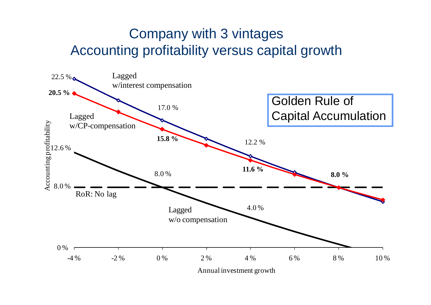#### Company with 3 vintages Accounting profitability versus capital growth

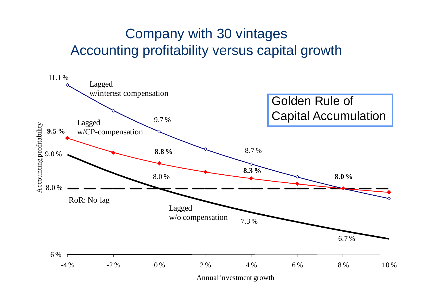### Company with 30 vintages Accounting profitability versus capital growth

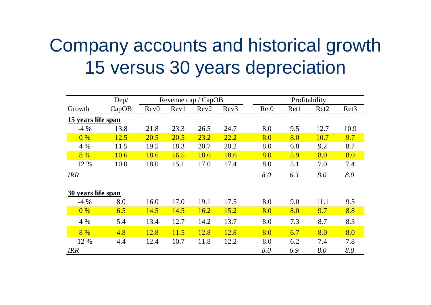## Company accounts and historical growth15 versus 30 years depreciation

|                    | Dep/  | Revenue cap / CapOB |      |                  | Profitability    |                  |      |                  |                  |
|--------------------|-------|---------------------|------|------------------|------------------|------------------|------|------------------|------------------|
| Growth             | CapOB | Rev <sub>0</sub>    | Rev1 | Rev <sub>2</sub> | Rev <sub>3</sub> | Ret <sub>0</sub> | Ret1 | Ret <sub>2</sub> | Ret <sub>3</sub> |
| 15 years life span |       |                     |      |                  |                  |                  |      |                  |                  |
| $-4\%$             | 13.8  | 21.8                | 23.3 | 26.5             | 24.7             | 8.0              | 9.5  | 12.7             | 10.9             |
| 0%                 | 12.5  | 20.5                | 20.5 | 23.2             | 22.2             | 8.0              | 8.0  | 10.7             | 9.7              |
| 4 %                | 11.5  | 19.5                | 18.3 | 20.7             | 20.2             | 8.0              | 6.8  | 9.2              | 8.7              |
| 8%                 | 10.6  | 18.6                | 16.5 | 18.6             | 18.6             | 8.0              | 5.9  | 8.0              | 8.0              |
| 12 %               | 10.0  | 18.0                | 15.1 | 17.0             | 17.4             | 8.0              | 5.1  | 7.0              | 7.4              |
| <b>IRR</b>         |       |                     |      |                  |                  | 8.0              | 6.3  | 8.0              | 8.0              |
| 30 years life span |       |                     |      |                  |                  |                  |      |                  |                  |
| $-4\%$             | 8.0   | 16.0                | 17.0 | 19.1             | 17.5             | 8.0              | 9.0  | 11.1             | 9.5              |
| 0%                 | 6.5   | 14.5                | 14.5 | 16.2             | 15.2             | 8.0              | 8.0  | 9.7              | 8.8              |
| 4 %                | 5.4   | 13.4                | 12.7 | 14.2             | 13.7             | 8.0              | 7.3  | 8.7              | 8.3              |
| 8%                 | 4.8   | 12.8                | 11.5 | 12.8             | 12.8             | 8.0              | 6.7  | 8.0              | 8.0              |
| 12 %               | 4.4   | 12.4                | 10.7 | 11.8             | 12.2             | 8.0              | 6.2  | 7.4              | 7.8              |
| <b>IRR</b>         |       |                     |      |                  |                  | 8.0              | 6.9  | 8.0              | 8.0              |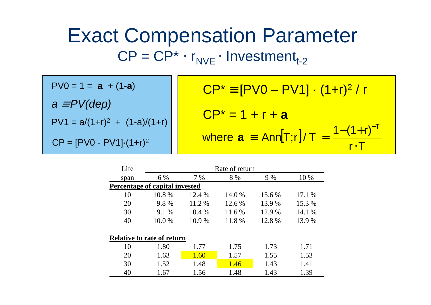## Exact Compensation Parameter $\mathsf{CP}=\mathsf{CP}^* \cdot \mathsf{r}_{\mathsf{NVE}} \cdot \mathsf{Investment}_{\mathsf{t\text{-}2}}$

 $PV1 = a/(1+r)^2 + (1-a)/(1+r)$  $^2$  + (1-a)/(1+r)  $PV0 = 1 = a + (1-a)$ a ≡ PV(dep)

$$
CP^* \equiv [PV0 - PV1] \cdot (1+r)^2 / r
$$
  
\n
$$
CP^* = 1 + r + a
$$
  
\nwhere  $a = Ann[T;r]/T = \frac{1 - (1+r)^{-T}}{r \cdot T}$ 

| Life | Rate of return                    |        |        |        |        |  |  |  |  |  |  |
|------|-----------------------------------|--------|--------|--------|--------|--|--|--|--|--|--|
| span | 6 %                               | 7 %    | 8 %    | 9 %    | 10 %   |  |  |  |  |  |  |
|      | Percentage of capital invested    |        |        |        |        |  |  |  |  |  |  |
| 10   | 10.8%                             | 12.4 % | 14.0 % | 15.6 % | 17.1 % |  |  |  |  |  |  |
| 20   | 9.8%                              | 11.2 % | 12.6 % | 13.9 % | 15.3 % |  |  |  |  |  |  |
| 30   | 9.1 %                             | 10.4 % | 11.6 % | 12.9 % | 14.1 % |  |  |  |  |  |  |
| 40   | 10.0 %                            | 10.9%  | 11.8%  | 12.8%  | 13.9 % |  |  |  |  |  |  |
|      | <b>Relative to rate of return</b> |        |        |        |        |  |  |  |  |  |  |
| 10   | 1.80                              | 1.77   | 1.75   | 1.73   | 1.71   |  |  |  |  |  |  |
| 20   | 1.63                              | 1.60   | 1.57   | 1.55   | 1.53   |  |  |  |  |  |  |
| 30   | 1.52                              | 1.48   | 1.46   | 1.43   | 1.41   |  |  |  |  |  |  |
| 40   | 1.67                              | 1.56   | 1.48   | 1.43   | 1.39   |  |  |  |  |  |  |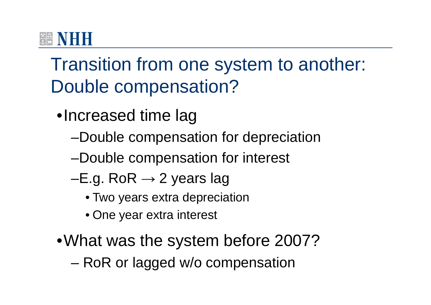### **<u><b>***<b>x</u> NHI</u>*

## Transition from one system to another: Double compensation?

- •Increased time lag
	- –Double compensation for depreciation
	- –Double compensation for interest
	- –E.g. RoR  $\rightarrow$  2 years lag
		- Two years extra depreciation
		- One year extra interest
- •What was the system before 2007?
	- –RoR or lagged w/o compensation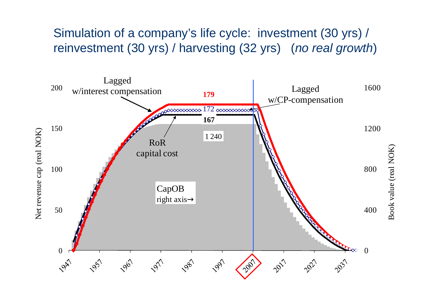#### Simulation of a company's life cycle: investment (30 yrs) / reinvestment (30 yrs) / harvesting (32 yrs) *(no real growth*)

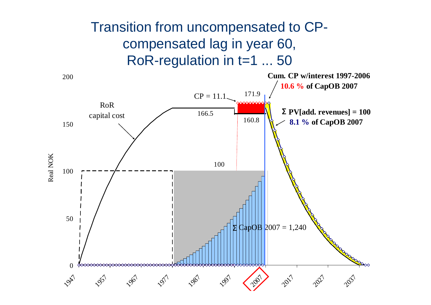### Transition from uncompensated to CPcompensated lag in year 60, RoR-regulation in t=1 ... 50

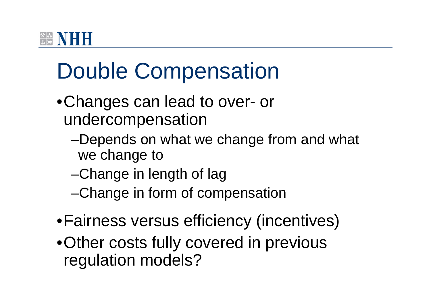## **谷率 NIFIFI**

# Double Compensation

- •Changes can lead to over- or undercompensation
	- –Depends on what we change from and what we change to
	- –Change in length of lag
	- –Change in form of compensation
- •Fairness versus efficiency (incentives)
- •Other costs fully covered in previous regulation models?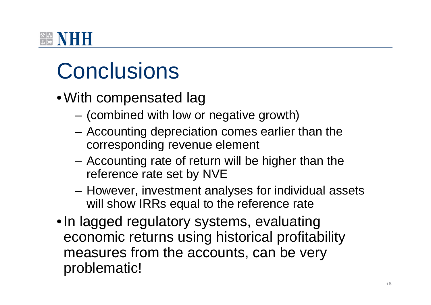

# **Conclusions**

- With compensated lag
	- (combined with low or negative growth)
	- Accounting depreciation comes earlier than the corresponding revenue element
	- Accounting rate of return will be higher than the reference rate set by NVE
	- However, investment analyses for individual assets will show IRRs equal to the reference rate
- In lagged regulatory systems, evaluating economic returns using historical profitability measures from the accounts, can be very problematic!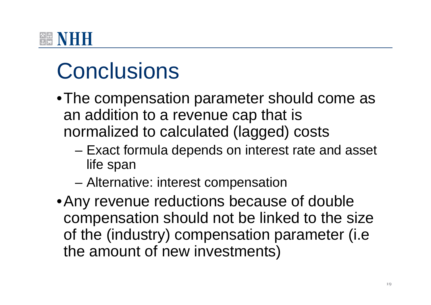# **Conclusions**

- •The compensation parameter should come as an addition to a revenue cap that is normalized to calculated (lagged) costs
	- –- Exact formula depends on interest rate and asset life span
	- –Alternative: interest compensation
- •Any revenue reductions because of double compensation should not be linked to the size of the (industry) compensation parameter (i.e the amount of new investments)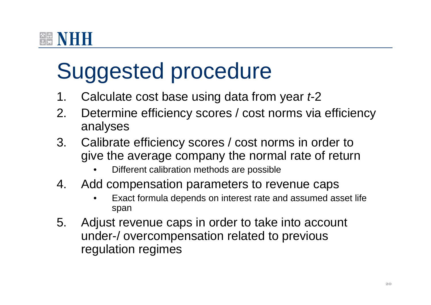# Suggested procedure

- 1. Calculate cost base using data from year *t*-2
- 2. Determine efficiency scores / cost norms via efficiency analyses
- 3. Calibrate efficiency scores / cost norms in order to give the average company the normal rate of return
	- •Different calibration methods are possible
- 4. Add compensation parameters to revenue caps
	- Exact formula depends on interest rate and assumed asset life •span
- 5. Adjust revenue caps in order to take into account under-/ overcompensation related to previous regulation regimes